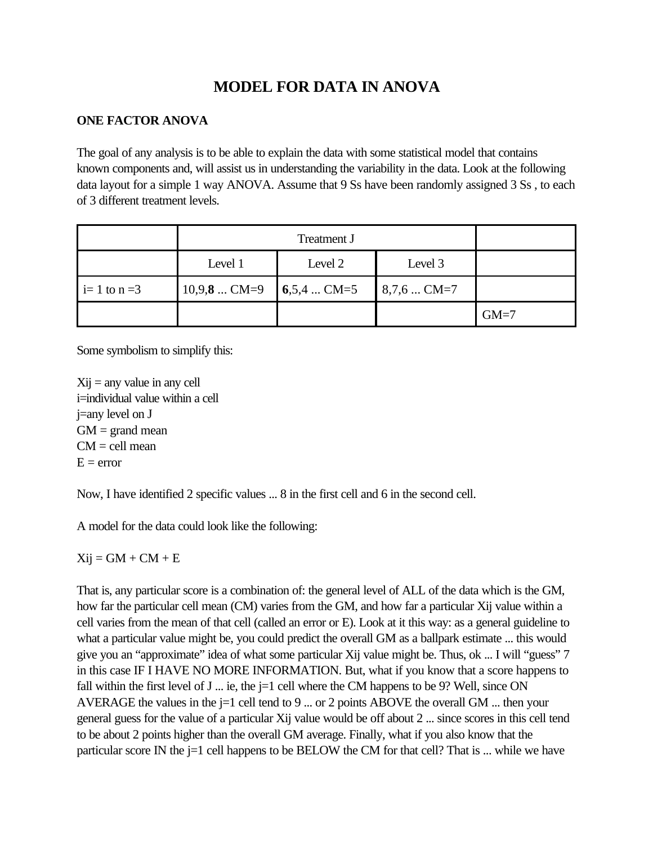# **MODEL FOR DATA IN ANOVA**

### **ONE FACTOR ANOVA**

The goal of any analysis is to be able to explain the data with some statistical model that contains known components and, will assist us in understanding the variability in the data. Look at the following data layout for a simple 1 way ANOVA. Assume that 9 Ss have been randomly assigned 3 Ss , to each of 3 different treatment levels.

|                | Level 1                          | Level 2 | Level 3      |        |
|----------------|----------------------------------|---------|--------------|--------|
| $i=1$ to $n=3$ | $10,9,8$ CM=9 $\big  6,5,4$ CM=5 |         | $8,7,6$ CM=7 |        |
|                |                                  |         |              | $GM=7$ |

Some symbolism to simplify this:

 $X_{ij}$  = any value in any cell i=individual value within a cell j=any level on J  $GM = \text{grand mean}$  $CM =$  cell mean  $E = error$ 

Now, I have identified 2 specific values ... 8 in the first cell and 6 in the second cell.

A model for the data could look like the following:

 $Xij = GM + CM + E$ 

That is, any particular score is a combination of: the general level of ALL of the data which is the GM, how far the particular cell mean (CM) varies from the GM, and how far a particular Xij value within a cell varies from the mean of that cell (called an error or E). Look at it this way: as a general guideline to what a particular value might be, you could predict the overall GM as a ballpark estimate ... this would give you an "approximate" idea of what some particular Xij value might be. Thus, ok ... I will "guess" 7 in this case IF I HAVE NO MORE INFORMATION. But, what if you know that a score happens to fall within the first level of J ... ie, the  $j=1$  cell where the CM happens to be 9? Well, since ON AVERAGE the values in the  $j=1$  cell tend to 9 ... or 2 points ABOVE the overall GM ... then your general guess for the value of a particular Xij value would be off about 2 ... since scores in this cell tend to be about 2 points higher than the overall GM average. Finally, what if you also know that the particular score IN the j=1 cell happens to be BELOW the CM for that cell? That is ... while we have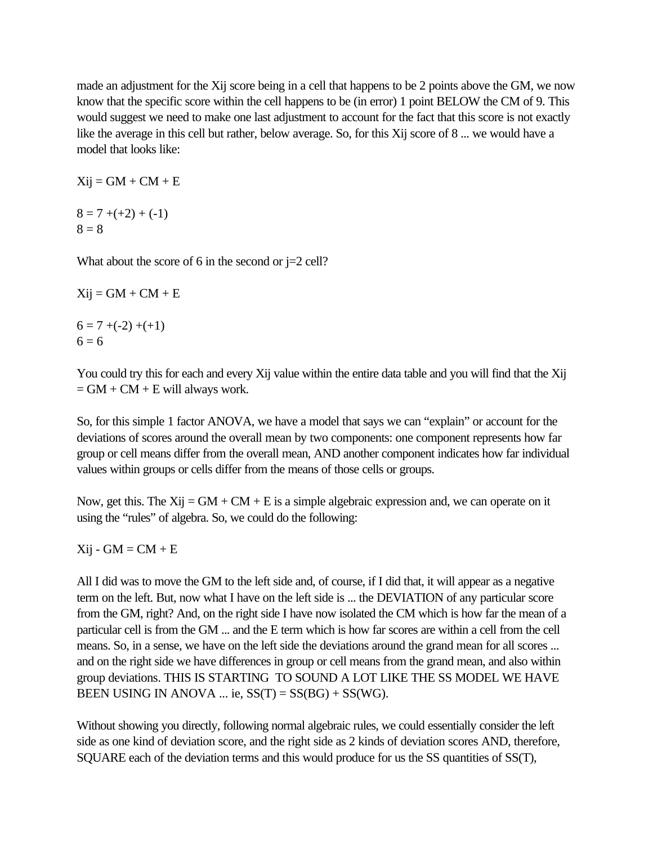made an adjustment for the Xij score being in a cell that happens to be 2 points above the GM, we now know that the specific score within the cell happens to be (in error) 1 point BELOW the CM of 9. This would suggest we need to make one last adjustment to account for the fact that this score is not exactly like the average in this cell but rather, below average. So, for this Xij score of 8 ... we would have a model that looks like:

 $Xij = GM + CM + E$ 

 $8 = 7 + (+2) + (-1)$  $8 = 8$ 

What about the score of 6 in the second or  $j=2$  cell?

```
Xij = GM + CM + E
```
 $6 = 7 + (-2) + (+1)$  $6 = 6$ 

You could try this for each and every Xij value within the entire data table and you will find that the Xij  $= GM + CM + E$  will always work.

So, for this simple 1 factor ANOVA, we have a model that says we can "explain" or account for the deviations of scores around the overall mean by two components: one component represents how far group or cell means differ from the overall mean, AND another component indicates how far individual values within groups or cells differ from the means of those cells or groups.

Now, get this. The Xij =  $GM + CM + E$  is a simple algebraic expression and, we can operate on it using the "rules" of algebra. So, we could do the following:

 $Xij - GM = CM + E$ 

All I did was to move the GM to the left side and, of course, if I did that, it will appear as a negative term on the left. But, now what I have on the left side is ... the DEVIATION of any particular score from the GM, right? And, on the right side I have now isolated the CM which is how far the mean of a particular cell is from the GM ... and the E term which is how far scores are within a cell from the cell means. So, in a sense, we have on the left side the deviations around the grand mean for all scores ... and on the right side we have differences in group or cell means from the grand mean, and also within group deviations. THIS IS STARTING TO SOUND A LOT LIKE THE SS MODEL WE HAVE BEEN USING IN ANOVA ... ie,  $SS(T) = SS(BG) + SS(WG)$ .

Without showing you directly, following normal algebraic rules, we could essentially consider the left side as one kind of deviation score, and the right side as 2 kinds of deviation scores AND, therefore, SQUARE each of the deviation terms and this would produce for us the SS quantities of SS(T),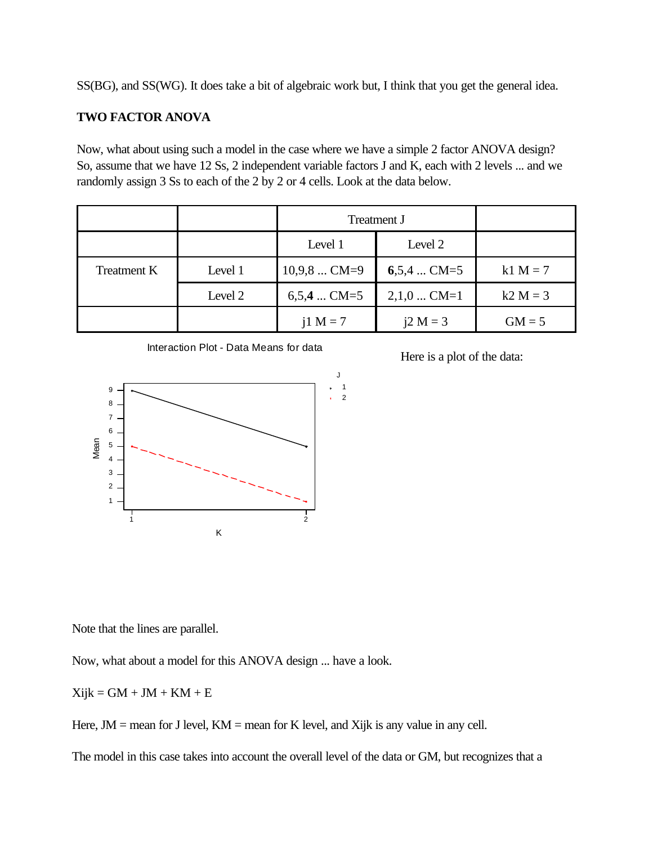SS(BG), and SS(WG). It does take a bit of algebraic work but, I think that you get the general idea.

#### **TWO FACTOR ANOVA**

Now, what about using such a model in the case where we have a simple 2 factor ANOVA design? So, assume that we have 12 Ss, 2 independent variable factors J and K, each with 2 levels ... and we randomly assign 3 Ss to each of the 2 by 2 or 4 cells. Look at the data below.

|             |         | <b>Treatment J</b> |              |            |
|-------------|---------|--------------------|--------------|------------|
|             |         | Level 1            | Level 2      |            |
| Treatment K | Level 1 | $10,9,8$ CM=9      | $6,5,4$ CM=5 | $k1 M = 7$ |
|             | Level 2 | $6,5,4$ CM=5       | $2,1,0$ CM=1 | $k2 M = 3$ |
|             |         | $i1 M = 7$         | $i2 M = 3$   | $GM = 5$   |





Here is a plot of the data:

Note that the lines are parallel.

Now, what about a model for this ANOVA design ... have a look.

 $Xijk = GM + JM + KM + E$ 

Here,  $JM$  = mean for J level,  $KM$  = mean for K level, and Xijk is any value in any cell.

The model in this case takes into account the overall level of the data or GM, but recognizes that a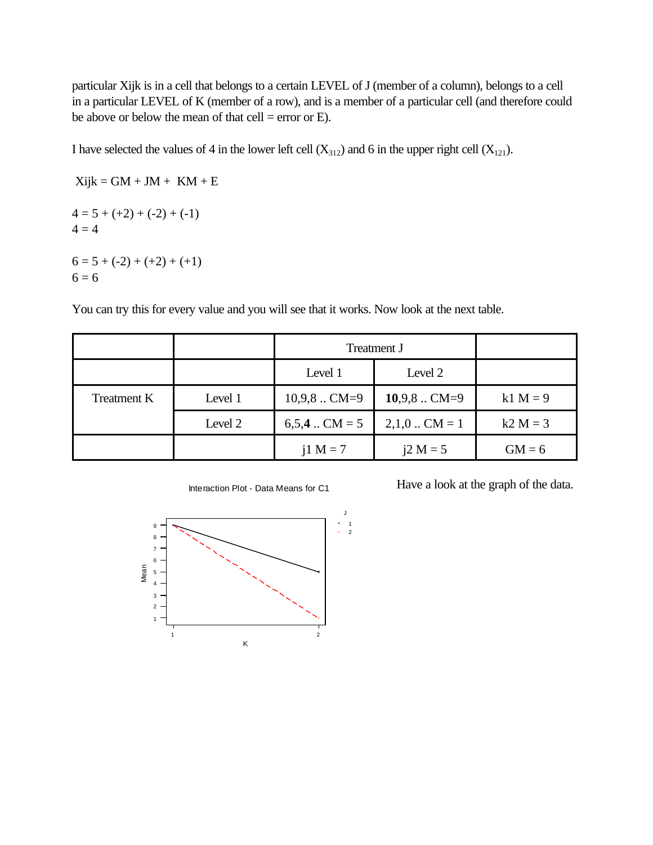particular Xijk is in a cell that belongs to a certain LEVEL of J (member of a column), belongs to a cell in a particular LEVEL of K (member of a row), and is a member of a particular cell (and therefore could be above or below the mean of that cell = error or  $E$ ).

I have selected the values of 4 in the lower left cell  $(X_{312})$  and 6 in the upper right cell  $(X_{121})$ .

 $Xijk = GM + JM + KM + E$  $4 = 5 + (+2) + (-2) + (-1)$  $4 = 4$  $6 = 5 + (-2) + (+2) + (+1)$  $6 = 6$ 

You can try this for every value and you will see that it works. Now look at the next table.

|                    |         | <b>Treatment J</b> |                |            |
|--------------------|---------|--------------------|----------------|------------|
|                    |         | Level 1            | Level 2        |            |
| <b>Treatment K</b> | Level 1 | $10,9,8$ CM=9      | $10,9,8$ CM=9  | $k1 M = 9$ |
|                    | Level 2 | $6,5,4$ CM = 5     | $2,1,0$ CM = 1 | $k2 M = 3$ |
|                    |         | $i1 M = 7$         | $i2 M = 5$     | $GM = 6$   |



Have a look at the graph of the data.

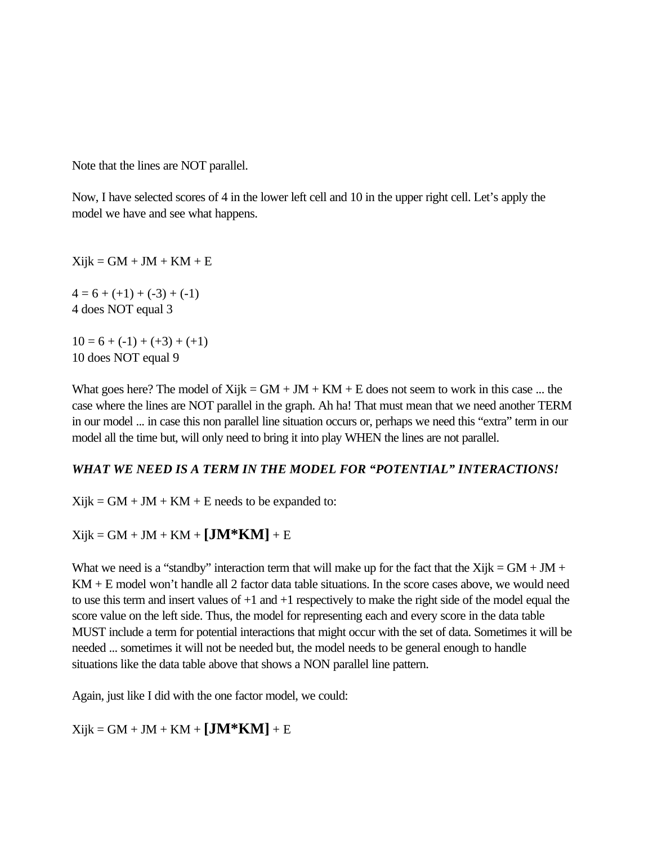Note that the lines are NOT parallel.

Now, I have selected scores of 4 in the lower left cell and 10 in the upper right cell. Let's apply the model we have and see what happens.

 $Xijk = GM + JM + KM + E$ 

 $4 = 6 + (+1) + (-3) + (-1)$ 4 does NOT equal 3

 $10 = 6 + (-1) + (+3) + (+1)$ 10 does NOT equal 9

What goes here? The model of  $Xi$ ijk =  $GM + JM + KM + E$  does not seem to work in this case ... the case where the lines are NOT parallel in the graph. Ah ha! That must mean that we need another TERM in our model ... in case this non parallel line situation occurs or, perhaps we need this "extra" term in our model all the time but, will only need to bring it into play WHEN the lines are not parallel.

#### *WHAT WE NEED IS A TERM IN THE MODEL FOR "POTENTIAL" INTERACTIONS!*

 $Xijk = GM + JM + KM + E$  needs to be expanded to:

 $Xi$ ijk = GM + JM + KM +  $[JM*KM]$  + E

What we need is a "standby" interaction term that will make up for the fact that the Xijk =  $GM + JM +$ KM + E model won't handle all 2 factor data table situations. In the score cases above, we would need to use this term and insert values of  $+1$  and  $+1$  respectively to make the right side of the model equal the score value on the left side. Thus, the model for representing each and every score in the data table MUST include a term for potential interactions that might occur with the set of data. Sometimes it will be needed ... sometimes it will not be needed but, the model needs to be general enough to handle situations like the data table above that shows a NON parallel line pattern.

Again, just like I did with the one factor model, we could:

 $Xijk = GM + JM + KM + [JM*KM] + E$